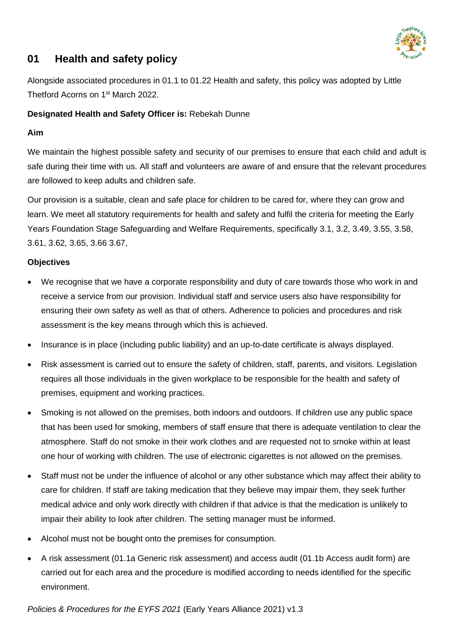

# **01 Health and safety policy**

Alongside associated procedures in 01.1 to 01.22 Health and safety, this policy was adopted by Little Thetford Acorns on 1<sup>st</sup> March 2022.

### **Designated Health and Safety Officer is:** Rebekah Dunne

## **Aim**

We maintain the highest possible safety and security of our premises to ensure that each child and adult is safe during their time with us. All staff and volunteers are aware of and ensure that the relevant procedures are followed to keep adults and children safe.

Our provision is a suitable, clean and safe place for children to be cared for, where they can grow and learn. We meet all statutory requirements for health and safety and fulfil the criteria for meeting the Early Years Foundation Stage Safeguarding and Welfare Requirements, specifically 3.1, 3.2, 3.49, 3.55, 3.58, 3.61, 3.62, 3.65, 3.66 3.67,

## **Objectives**

- We recognise that we have a corporate responsibility and duty of care towards those who work in and receive a service from our provision. Individual staff and service users also have responsibility for ensuring their own safety as well as that of others. Adherence to policies and procedures and risk assessment is the key means through which this is achieved.
- Insurance is in place (including public liability) and an up-to-date certificate is always displayed.
- Risk assessment is carried out to ensure the safety of children, staff, parents, and visitors. Legislation requires all those individuals in the given workplace to be responsible for the health and safety of premises, equipment and working practices.
- Smoking is not allowed on the premises, both indoors and outdoors. If children use any public space that has been used for smoking, members of staff ensure that there is adequate ventilation to clear the atmosphere. Staff do not smoke in their work clothes and are requested not to smoke within at least one hour of working with children. The use of electronic cigarettes is not allowed on the premises.
- Staff must not be under the influence of alcohol or any other substance which may affect their ability to care for children. If staff are taking medication that they believe may impair them, they seek further medical advice and only work directly with children if that advice is that the medication is unlikely to impair their ability to look after children. The setting manager must be informed.
- Alcohol must not be bought onto the premises for consumption.
- A risk assessment (01.1a Generic risk assessment) and access audit (01.1b Access audit form) are carried out for each area and the procedure is modified according to needs identified for the specific environment.

*Policies & Procedures for the EYFS 2021* (Early Years Alliance 2021) v1.3